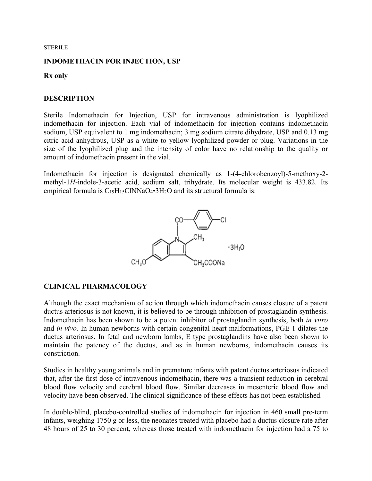#### STERILE

### **INDOMETHACIN FOR INJECTION, USP**

### **Rx only**

## **DESCRIPTION**

Sterile Indomethacin for Injection, USP for intravenous administration is lyophilized indomethacin for injection. Each vial of indomethacin for injection contains indomethacin sodium, USP equivalent to 1 mg indomethacin; 3 mg sodium citrate dihydrate, USP and 0.13 mg citric acid anhydrous, USP as a white to yellow lyophilized powder or plug. Variations in the size of the lyophilized plug and the intensity of color have no relationship to the quality or amount of indomethacin present in the vial.

Indomethacin for injection is designated chemically as 1-(4-chlorobenzoyl)-5-methoxy-2 methyl-1*H*-indole-3-acetic acid, sodium salt, trihydrate. Its molecular weight is 433.82. Its empirical formula is  $C_{19}H_{15}CINNaO_4 \cdot 3H_2O$  and its structural formula is:



## **CLINICAL PHARMACOLOGY**

Although the exact mechanism of action through which indomethacin causes closure of a patent ductus arteriosus is not known, it is believed to be through inhibition of prostaglandin synthesis. Indomethacin has been shown to be a potent inhibitor of prostaglandin synthesis, both *in vitro*  and *in vivo.* In human newborns with certain congenital heart malformations, PGE 1 dilates the ductus arteriosus. In fetal and newborn lambs, E type prostaglandins have also been shown to maintain the patency of the ductus, and as in human newborns, indomethacin causes its constriction.

Studies in healthy young animals and in premature infants with patent ductus arteriosus indicated that, after the first dose of intravenous indomethacin, there was a transient reduction in cerebral blood flow velocity and cerebral blood flow. Similar decreases in mesenteric blood flow and velocity have been observed. The clinical significance of these effects has not been established.

In double-blind, placebo-controlled studies of indomethacin for injection in 460 small pre-term infants, weighing 1750 g or less, the neonates treated with placebo had a ductus closure rate after 48 hours of 25 to 30 percent, whereas those treated with indomethacin for injection had a 75 to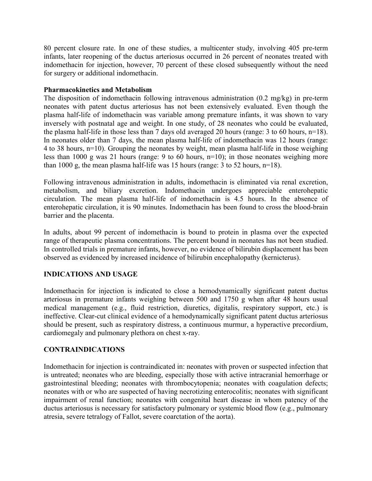80 percent closure rate. In one of these studies, a multicenter study, involving 405 pre-term infants, later reopening of the ductus arteriosus occurred in 26 percent of neonates treated with indomethacin for injection, however, 70 percent of these closed subsequently without the need for surgery or additional indomethacin.

## **Pharmacokinetics and Metabolism**

The disposition of indomethacin following intravenous administration (0.2 mg/kg) in pre-term neonates with patent ductus arteriosus has not been extensively evaluated. Even though the plasma half-life of indomethacin was variable among premature infants, it was shown to vary inversely with postnatal age and weight. In one study, of 28 neonates who could be evaluated, the plasma half-life in those less than 7 days old averaged 20 hours (range: 3 to 60 hours, n=18). In neonates older than 7 days, the mean plasma half-life of indomethacin was 12 hours (range: 4 to 38 hours, n=10). Grouping the neonates by weight, mean plasma half-life in those weighing less than 1000 g was 21 hours (range: 9 to 60 hours, n=10); in those neonates weighing more than 1000 g, the mean plasma half-life was 15 hours (range: 3 to 52 hours, n=18).

Following intravenous administration in adults, indomethacin is eliminated via renal excretion, metabolism, and biliary excretion. Indomethacin undergoes appreciable enterohepatic circulation. The mean plasma half-life of indomethacin is 4.5 hours. In the absence of enterohepatic circulation, it is 90 minutes. Indomethacin has been found to cross the blood-brain barrier and the placenta.

In adults, about 99 percent of indomethacin is bound to protein in plasma over the expected range of therapeutic plasma concentrations. The percent bound in neonates has not been studied. In controlled trials in premature infants, however, no evidence of bilirubin displacement has been observed as evidenced by increased incidence of bilirubin encephalopathy (kernicterus).

# **INDICATIONS AND USAGE**

Indomethacin for injection is indicated to close a hemodynamically significant patent ductus arteriosus in premature infants weighing between 500 and 1750 g when after 48 hours usual medical management (e.g., fluid restriction, diuretics, digitalis, respiratory support, etc.) is ineffective. Clear-cut clinical evidence of a hemodynamically significant patent ductus arteriosus should be present, such as respiratory distress, a continuous murmur, a hyperactive precordium, cardiomegaly and pulmonary plethora on chest x-ray.

# **CONTRAINDICATIONS**

Indomethacin for injection is contraindicated in: neonates with proven or suspected infection that is untreated; neonates who are bleeding, especially those with active intracranial hemorrhage or gastrointestinal bleeding; neonates with thrombocytopenia; neonates with coagulation defects; neonates with or who are suspected of having necrotizing enterocolitis; neonates with significant impairment of renal function; neonates with congenital heart disease in whom patency of the ductus arteriosus is necessary for satisfactory pulmonary or systemic blood flow (e.g., pulmonary atresia, severe tetralogy of Fallot, severe coarctation of the aorta).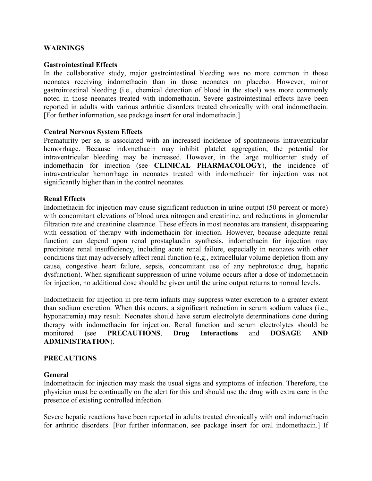## **WARNINGS**

#### **Gastrointestinal Effects**

In the collaborative study, major gastrointestinal bleeding was no more common in those neonates receiving indomethacin than in those neonates on placebo. However, minor gastrointestinal bleeding (i.e., chemical detection of blood in the stool) was more commonly noted in those neonates treated with indomethacin. Severe gastrointestinal effects have been reported in adults with various arthritic disorders treated chronically with oral indomethacin. [For further information, see package insert for oral indomethacin.]

#### **Central Nervous System Effects**

Prematurity per se, is associated with an increased incidence of spontaneous intraventricular hemorrhage. Because indomethacin may inhibit platelet aggregation, the potential for intraventricular bleeding may be increased. However, in the large multicenter study of indomethacin for injection (see **CLINICAL PHARMACOLOGY**), the incidence of intraventricular hemorrhage in neonates treated with indomethacin for injection was not significantly higher than in the control neonates.

#### **Renal Effects**

Indomethacin for injection may cause significant reduction in urine output (50 percent or more) with concomitant elevations of blood urea nitrogen and creatinine, and reductions in glomerular filtration rate and creatinine clearance. These effects in most neonates are transient, disappearing with cessation of therapy with indomethacin for injection. However, because adequate renal function can depend upon renal prostaglandin synthesis, indomethacin for injection may precipitate renal insufficiency, including acute renal failure, especially in neonates with other conditions that may adversely affect renal function (e.g., extracellular volume depletion from any cause, congestive heart failure, sepsis, concomitant use of any nephrotoxic drug, hepatic dysfunction). When significant suppression of urine volume occurs after a dose of indomethacin for injection, no additional dose should be given until the urine output returns to normal levels.

Indomethacin for injection in pre-term infants may suppress water excretion to a greater extent than sodium excretion. When this occurs, a significant reduction in serum sodium values (i.e., hyponatremia) may result. Neonates should have serum electrolyte determinations done during therapy with indomethacin for injection. Renal function and serum electrolytes should be monitored (see **PRECAUTIONS**, **Drug Interactions** and **DOSAGE AND ADMINISTRATION**).

#### **PRECAUTIONS**

#### **General**

Indomethacin for injection may mask the usual signs and symptoms of infection. Therefore, the physician must be continually on the alert for this and should use the drug with extra care in the presence of existing controlled infection.

Severe hepatic reactions have been reported in adults treated chronically with oral indomethacin for arthritic disorders. [For further information, see package insert for oral indomethacin.] If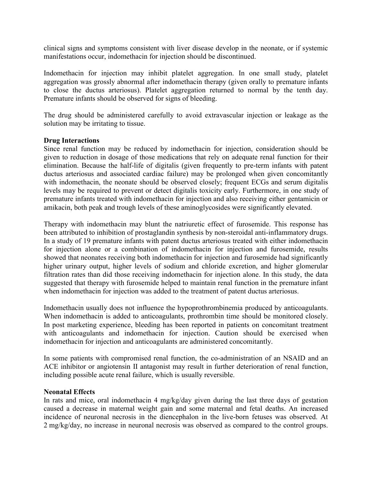clinical signs and symptoms consistent with liver disease develop in the neonate, or if systemic manifestations occur, indomethacin for injection should be discontinued.

Indomethacin for injection may inhibit platelet aggregation. In one small study, platelet aggregation was grossly abnormal after indomethacin therapy (given orally to premature infants to close the ductus arteriosus). Platelet aggregation returned to normal by the tenth day. Premature infants should be observed for signs of bleeding.

The drug should be administered carefully to avoid extravascular injection or leakage as the solution may be irritating to tissue.

## **Drug Interactions**

Since renal function may be reduced by indomethacin for injection, consideration should be given to reduction in dosage of those medications that rely on adequate renal function for their elimination. Because the half-life of digitalis (given frequently to pre-term infants with patent ductus arteriosus and associated cardiac failure) may be prolonged when given concomitantly with indomethacin, the neonate should be observed closely; frequent ECGs and serum digitalis levels may be required to prevent or detect digitalis toxicity early. Furthermore, in one study of premature infants treated with indomethacin for injection and also receiving either gentamicin or amikacin, both peak and trough levels of these aminoglycosides were significantly elevated.

Therapy with indomethacin may blunt the natriuretic effect of furosemide. This response has been attributed to inhibition of prostaglandin synthesis by non-steroidal anti-inflammatory drugs. In a study of 19 premature infants with patent ductus arteriosus treated with either indomethacin for injection alone or a combination of indomethacin for injection and furosemide, results showed that neonates receiving both indomethacin for injection and furosemide had significantly higher urinary output, higher levels of sodium and chloride excretion, and higher glomerular filtration rates than did those receiving indomethacin for injection alone. In this study, the data suggested that therapy with furosemide helped to maintain renal function in the premature infant when indomethacin for injection was added to the treatment of patent ductus arteriosus.

Indomethacin usually does not influence the hypoprothrombinemia produced by anticoagulants. When indomethacin is added to anticoagulants, prothrombin time should be monitored closely. In post marketing experience, bleeding has been reported in patients on concomitant treatment with anticoagulants and indomethacin for injection. Caution should be exercised when indomethacin for injection and anticoagulants are administered concomitantly.

In some patients with compromised renal function, the co-administration of an NSAID and an ACE inhibitor or angiotensin II antagonist may result in further deterioration of renal function, including possible acute renal failure, which is usually reversible.

#### **Neonatal Effects**

In rats and mice, oral indomethacin 4 mg/kg/day given during the last three days of gestation caused a decrease in maternal weight gain and some maternal and fetal deaths. An increased incidence of neuronal necrosis in the diencephalon in the live-born fetuses was observed. At 2 mg/kg/day, no increase in neuronal necrosis was observed as compared to the control groups.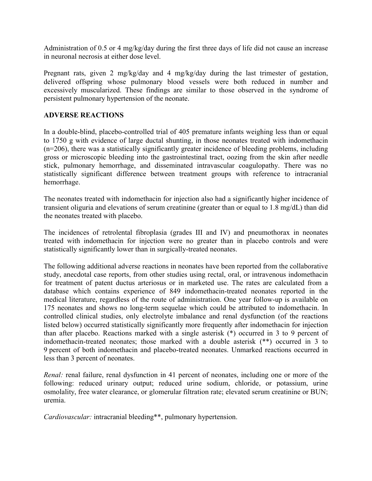Administration of 0.5 or 4 mg/kg/day during the first three days of life did not cause an increase in neuronal necrosis at either dose level.

Pregnant rats, given 2 mg/kg/day and 4 mg/kg/day during the last trimester of gestation, delivered offspring whose pulmonary blood vessels were both reduced in number and excessively muscularized. These findings are similar to those observed in the syndrome of persistent pulmonary hypertension of the neonate.

# **ADVERSE REACTIONS**

In a double-blind, placebo-controlled trial of 405 premature infants weighing less than or equal to 1750 g with evidence of large ductal shunting, in those neonates treated with indomethacin (n=206), there was a statistically significantly greater incidence of bleeding problems, including gross or microscopic bleeding into the gastrointestinal tract, oozing from the skin after needle stick, pulmonary hemorrhage, and disseminated intravascular coagulopathy. There was no statistically significant difference between treatment groups with reference to intracranial hemorrhage.

The neonates treated with indomethacin for injection also had a significantly higher incidence of transient oliguria and elevations of serum creatinine (greater than or equal to 1.8 mg/dL) than did the neonates treated with placebo.

The incidences of retrolental fibroplasia (grades III and IV) and pneumothorax in neonates treated with indomethacin for injection were no greater than in placebo controls and were statistically significantly lower than in surgically-treated neonates.

The following additional adverse reactions in neonates have been reported from the collaborative study, anecdotal case reports, from other studies using rectal, oral, or intravenous indomethacin for treatment of patent ductus arteriosus or in marketed use. The rates are calculated from a database which contains experience of 849 indomethacin-treated neonates reported in the medical literature, regardless of the route of administration. One year follow-up is available on 175 neonates and shows no long-term sequelae which could be attributed to indomethacin. In controlled clinical studies, only electrolyte imbalance and renal dysfunction (of the reactions listed below) occurred statistically significantly more frequently after indomethacin for injection than after placebo. Reactions marked with a single asterisk (\*) occurred in 3 to 9 percent of indomethacin-treated neonates; those marked with a double asterisk (\*\*) occurred in 3 to 9 percent of both indomethacin and placebo-treated neonates. Unmarked reactions occurred in less than 3 percent of neonates.

*Renal:* renal failure, renal dysfunction in 41 percent of neonates, including one or more of the following: reduced urinary output; reduced urine sodium, chloride, or potassium, urine osmolality, free water clearance, or glomerular filtration rate; elevated serum creatinine or BUN; uremia.

*Cardiovascular:* intracranial bleeding\*\*, pulmonary hypertension.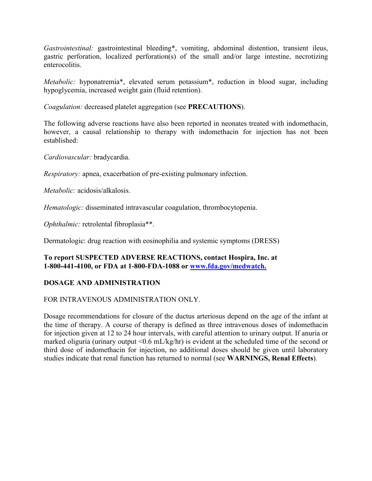*Gastrointestinal:* gastrointestinal bleeding\*, vomiting, abdominal distention, transient ileus, gastric perforation, localized perforation(s) of the small and/or large intestine, necrotizing enterocolitis.

*Metabolic:* hyponatremia\*, elevated serum potassium\*, reduction in blood sugar, including hypoglycemia, increased weight gain (fluid retention).

*Coagulation:* decreased platelet aggregation (see **PRECAUTIONS**).

The following adverse reactions have also been reported in neonates treated with indomethacin, however, a causal relationship to therapy with indomethacin for injection has not been established:

*Cardiovascular:* bradycardia.

*Respiratory:* apnea, exacerbation of pre-existing pulmonary infection.

*Metabolic:* acidosis/alkalosis.

*Hematologic:* disseminated intravascular coagulation, thrombocytopenia.

*Ophthalmic:* retrolental fibroplasia\*\*.

Dermatologic: drug reaction with eosinophilia and systemic symptoms (DRESS)

## **To report SUSPECTED ADVERSE REACTIONS, contact Hospira, Inc. at 1-800-441-4100, or FDA at 1-800-FDA-1088 or www.fda.gov/medwatch.**

# **DOSAGE AND ADMINISTRATION**

## FOR INTRAVENOUS ADMINISTRATION ONLY.

Dosage recommendations for closure of the ductus arteriosus depend on the age of the infant at the time of therapy. A course of therapy is defined as three intravenous doses of indomethacin for injection given at 12 to 24 hour intervals, with careful attention to urinary output. If anuria or marked oliguria (urinary output <0.6 mL/kg/hr) is evident at the scheduled time of the second or third dose of indomethacin for injection, no additional doses should be given until laboratory studies indicate that renal function has returned to normal (see **WARNINGS, Renal Effects**)*.*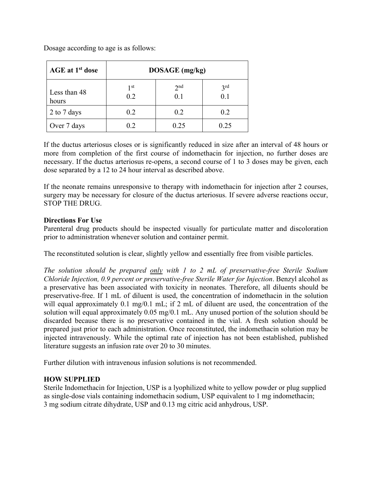| AGE at 1 <sup>st</sup> dose | DOSAGE (mg/kg) |                        |                            |
|-----------------------------|----------------|------------------------|----------------------------|
| Less than 48<br>hours       | 1 st<br>0.2    | 2 <sup>nd</sup><br>0.1 | 3 <sup>rd</sup><br>$0.1\,$ |
| 2 to 7 days                 | 0.2            | 0.2                    | 0.2                        |
| Over 7 days                 | 0.2            | 0.25                   | 0.25                       |

Dosage according to age is as follows:

If the ductus arteriosus closes or is significantly reduced in size after an interval of 48 hours or more from completion of the first course of indomethacin for injection, no further doses are necessary. If the ductus arteriosus re-opens, a second course of 1 to 3 doses may be given, each dose separated by a 12 to 24 hour interval as described above.

If the neonate remains unresponsive to therapy with indomethacin for injection after 2 courses, surgery may be necessary for closure of the ductus arteriosus. If severe adverse reactions occur, STOP THE DRUG.

## **Directions For Use**

Parenteral drug products should be inspected visually for particulate matter and discoloration prior to administration whenever solution and container permit.

The reconstituted solution is clear, slightly yellow and essentially free from visible particles.

*The solution should be prepared only with 1 to 2 mL of preservative-free Sterile Sodium Chloride Injection, 0.9 percent or preservative-free Sterile Water for Injection*. Benzyl alcohol as a preservative has been associated with toxicity in neonates. Therefore, all diluents should be preservative-free. If 1 mL of diluent is used, the concentration of indomethacin in the solution will equal approximately 0.1 mg/0.1 mL; if 2 mL of diluent are used, the concentration of the solution will equal approximately 0.05 mg/0.1 mL. Any unused portion of the solution should be discarded because there is no preservative contained in the vial. A fresh solution should be prepared just prior to each administration. Once reconstituted, the indomethacin solution may be injected intravenously. While the optimal rate of injection has not been established, published literature suggests an infusion rate over 20 to 30 minutes.

Further dilution with intravenous infusion solutions is not recommended.

## **HOW SUPPLIED**

Sterile Indomethacin for Injection, USP is a lyophilized white to yellow powder or plug supplied as single-dose vials containing indomethacin sodium, USP equivalent to 1 mg indomethacin; 3 mg sodium citrate dihydrate, USP and 0.13 mg citric acid anhydrous, USP.